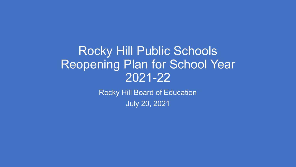#### Rocky Hill Public Schools Reopening Plan for School Year 2021-22

Rocky Hill Board of Education July 20, 2021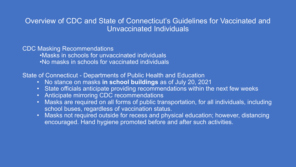#### Overview of CDC and State of Connecticut's Guidelines for Vaccinated and Unvaccinated Individuals

#### CDC Masking Recommendations

- •Masks in schools for unvaccinated individuals
- •No masks in schools for vaccinated individuals

State of Connecticut - Departments of Public Health and Education

- No stance on masks **in school buildings** as of July 20, 2021
- State officials anticipate providing recommendations within the next few weeks
- Anticipate mirroring CDC recommendations
- Masks are required on all forms of public transportation, for all individuals, including school buses, regardless of vaccination status.
- Masks not required outside for recess and physical education; however, distancing encouraged. Hand hygiene promoted before and after such activities.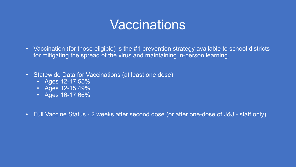### Vaccinations

- Vaccination (for those eligible) is the #1 prevention strategy available to school districts for mitigating the spread of the virus and maintaining in-person learning.
- Statewide Data for Vaccinations (at least one dose)
	- Ages 12-17 55%
	- Ages 12-15 49%
	- Ages 16-17 66%
- Full Vaccine Status 2 weeks after second dose (or after one-dose of J&J staff only)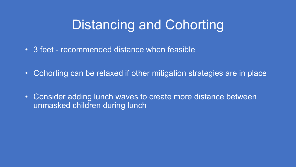# Distancing and Cohorting

- 3 feet recommended distance when feasible
- Cohorting can be relaxed if other mitigation strategies are in place
- Consider adding lunch waves to create more distance between unmasked children during lunch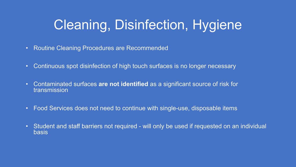# Cleaning, Disinfection, Hygiene

- Routine Cleaning Procedures are Recommended
- Continuous spot disinfection of high touch surfaces is no longer necessary
- Contaminated surfaces **are not identified** as a significant source of risk for transmission
- Food Services does not need to continue with single-use, disposable items
- Student and staff barriers not required will only be used if requested on an individual basis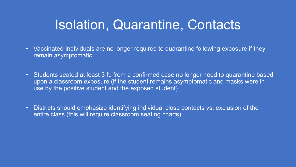## Isolation, Quarantine, Contacts

- Vaccinated Individuals are no longer required to quarantine following exposure if they remain asymptomatic
- Students seated at least 3 ft. from a confirmed case no longer need to quarantine based upon a classroom exposure (if the student remains asymptomatic and masks were in use by the positive student and the exposed student)
- Districts should emphasize identifying individual close contacts vs. exclusion of the entire class (this will require classroom seating charts)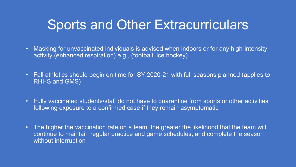### Sports and Other Extracurriculars

- Masking for unvaccinated individuals is advised when indoors or for any high-intensity activity (enhanced respiration) e.g., (football, ice hockey)
- Fall athletics should begin on time for SY 2020-21 with full seasons planned (applies to RHHS and GMS)
- Fully vaccinated students/staff do not have to quarantine from sports or other activities following exposure to a confirmed case if they remain asymptomatic
- The higher the vaccination rate on a team, the greater the likelihood that the team will continue to maintain regular practice and game schedules, and complete the season without interruption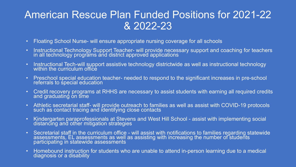#### American Rescue Plan Funded Positions for 2021-22 & 2022-23

- Floating School Nurse- will ensure appropriate nursing coverage for all schools
- Instructional Technology Support Teacher- will provide necessary support and coaching for teachers in all technology programs and district approved applications
- Instructional Tech-will support assistive technology districtwide as well as instructional technology within the curriculum office
- Preschool special education teacher- needed to respond to the significant increases in pre-school referrals to special education
- Credit recovery programs at RHHS are necessary to assist students with earning all required credits and graduating on time
- Athletic secretarial staff- will provide outreach to families as well as assist with COVID-19 protocols such as contact tracing and identifying close contacts
- Kindergarten paraprofessionals at Stevens and West Hill School assist with implementing social distancing and other mitigation strategies
- Secretarial staff in the curriculum office will assist with notifications to families regarding statewide assessments, EL assessments as well as assisting with increasing the number of students participating in statewide assessments
- Homebound instruction for students who are unable to attend in-person learning due to a medical diagnosis or a disability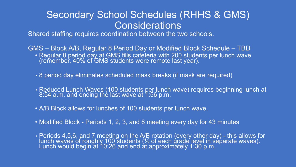#### Secondary School Schedules (RHHS & GMS) **Considerations**

Shared staffing requires coordination between the two schools.

GMS – Block A/B, Regular 8 Period Day or Modified Block Schedule – TBD • Regular 8 period day at GMS fills cafeteria with 200 students per lunch wave (remember, 40% of GMS students were remote last year).

- 8 period day eliminates scheduled mask breaks (if mask are required)
- Reduced Lunch Waves (100 students per lunch wave) requires beginning lunch at 8:54 a.m. and ending thè last wave at 1:56 p.m.
- A/B Block allows for lunches of 100 students per lunch wave.
- Modified Block Periods 1, 2, 3, and 8 meeting every day for 43 minutes
- Periods 4,5,6, and 7 meeting on the A/B rotation (every other day) this allows for lunch waves of roughly 100 students (½ of each grade level in separate waves). Lunch would begin at 10:26 and end at approximately 1:30 p.m.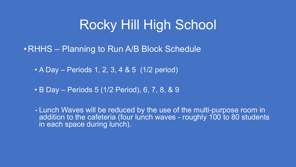### Rocky Hill High School

•RHHS – Planning to Run A/B Block Schedule

• A Day – Periods 1, 2, 3, 4 & 5 (1/2 period)

• B Day – Periods 5 (1/2 Period), 6, 7, 8, & 9

• Lunch Waves will be reduced by the use of the multi-purpose room in addition to the cafeteria (four lunch waves - roughly 100 to 80 students in each space during lunch).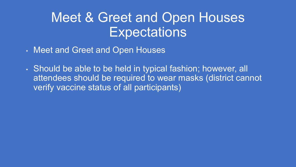## Meet & Greet and Open Houses **Expectations**

- Meet and Greet and Open Houses
- Should be able to be held in typical fashion; however, all attendees should be required to wear masks (district cannot verify vaccine status of all participants)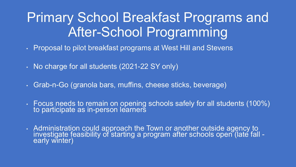# Primary School Breakfast Programs and After-School Programming

- Proposal to pilot breakfast programs at West Hill and Stevens
- No charge for all students (2021-22 SY only)
- Grab-n-Go (granola bars, muffins, cheese sticks, beverage)
- Focus needs to remain on opening schools safely for all students (100%) to participate as in-person learners
- Administration could approach the Town or another outside agency to investigate feasibility of starting a program after schools open (late fall early winter)